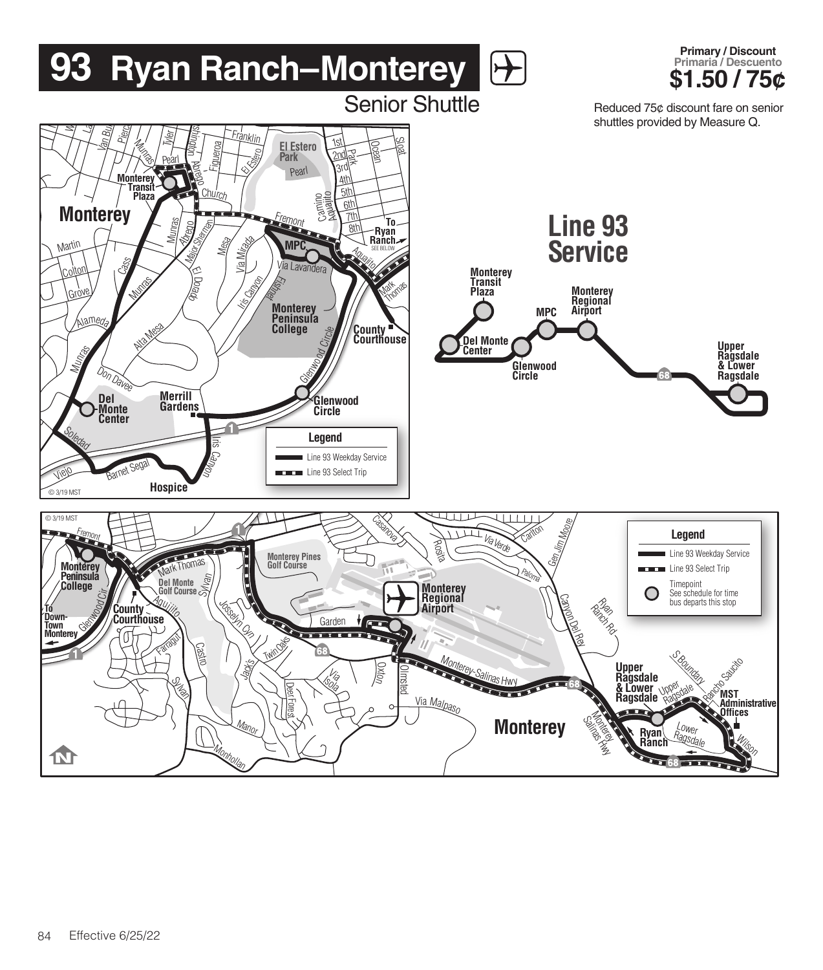